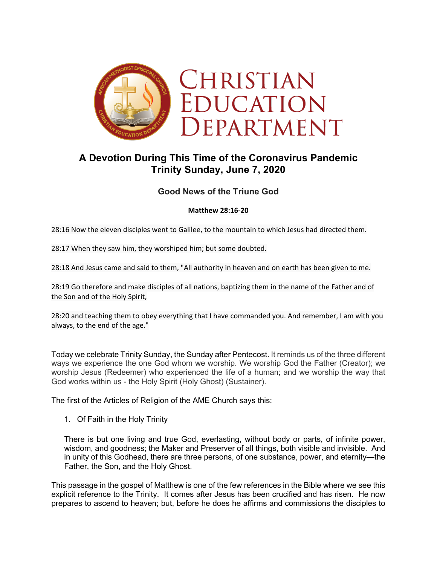

## **A Devotion During This Time of the Coronavirus Pandemic Trinity Sunday, June 7, 2020**

## **Good News of the Triune God**

## **Matthew 28:16-20**

28:16 Now the eleven disciples went to Galilee, to the mountain to which Jesus had directed them.

28:17 When they saw him, they worshiped him; but some doubted.

28:18 And Jesus came and said to them, "All authority in heaven and on earth has been given to me.

28:19 Go therefore and make disciples of all nations, baptizing them in the name of the Father and of the Son and of the Holy Spirit,

28:20 and teaching them to obey everything that I have commanded you. And remember, I am with you always, to the end of the age."

Today we celebrate Trinity Sunday, the Sunday after Pentecost. It reminds us of the three different ways we experience the one God whom we worship. We worship God the Father (Creator); we worship Jesus (Redeemer) who experienced the life of a human; and we worship the way that God works within us - the Holy Spirit (Holy Ghost) (Sustainer).

The first of the Articles of Religion of the AME Church says this:

1. Of Faith in the Holy Trinity

There is but one living and true God, everlasting, without body or parts, of infinite power, wisdom, and goodness; the Maker and Preserver of all things, both visible and invisible. And in unity of this Godhead, there are three persons, of one substance, power, and eternity—the Father, the Son, and the Holy Ghost.

This passage in the gospel of Matthew is one of the few references in the Bible where we see this explicit reference to the Trinity. It comes after Jesus has been crucified and has risen. He now prepares to ascend to heaven; but, before he does he affirms and commissions the disciples to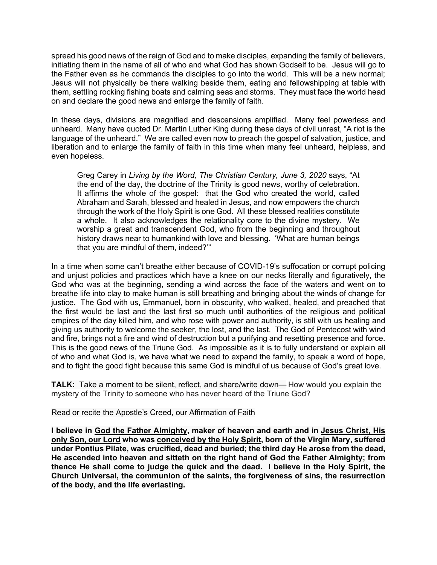spread his good news of the reign of God and to make disciples, expanding the family of believers, initiating them in the name of all of who and what God has shown Godself to be. Jesus will go to the Father even as he commands the disciples to go into the world. This will be a new normal; Jesus will not physically be there walking beside them, eating and fellowshipping at table with them, settling rocking fishing boats and calming seas and storms. They must face the world head on and declare the good news and enlarge the family of faith.

In these days, divisions are magnified and descensions amplified. Many feel powerless and unheard. Many have quoted Dr. Martin Luther King during these days of civil unrest, "A riot is the language of the unheard." We are called even now to preach the gospel of salvation, justice, and liberation and to enlarge the family of faith in this time when many feel unheard, helpless, and even hopeless.

Greg Carey in *Living by the Word, The Christian Century, June 3, 2020* says, "At the end of the day, the doctrine of the Trinity is good news, worthy of celebration. It affirms the whole of the gospel: that the God who created the world, called Abraham and Sarah, blessed and healed in Jesus, and now empowers the church through the work of the Holy Spirit is one God. All these blessed realities constitute a whole. It also acknowledges the relationality core to the divine mystery. We worship a great and transcendent God, who from the beginning and throughout history draws near to humankind with love and blessing. 'What are human beings that you are mindful of them, indeed?'"

In a time when some can't breathe either because of COVID-19's suffocation or corrupt policing and unjust policies and practices which have a knee on our necks literally and figuratively, the God who was at the beginning, sending a wind across the face of the waters and went on to breathe life into clay to make human is still breathing and bringing about the winds of change for justice. The God with us, Emmanuel, born in obscurity, who walked, healed, and preached that the first would be last and the last first so much until authorities of the religious and political empires of the day killed him, and who rose with power and authority, is still with us healing and giving us authority to welcome the seeker, the lost, and the last. The God of Pentecost with wind and fire, brings not a fire and wind of destruction but a purifying and resetting presence and force. This is the good news of the Triune God. As impossible as it is to fully understand or explain all of who and what God is, we have what we need to expand the family, to speak a word of hope, and to fight the good fight because this same God is mindful of us because of God's great love.

**TALK:** Take a moment to be silent, reflect, and share/write down— How would you explain the mystery of the Trinity to someone who has never heard of the Triune God?

Read or recite the Apostle's Creed, our Affirmation of Faith

**I believe in God the Father Almighty, maker of heaven and earth and in Jesus Christ, His only Son, our Lord who was conceived by the Holy Spirit, born of the Virgin Mary, suffered under Pontius Pilate, was crucified, dead and buried; the third day He arose from the dead, He ascended into heaven and sitteth on the right hand of God the Father Almighty; from thence He shall come to judge the quick and the dead. I believe in the Holy Spirit, the Church Universal, the communion of the saints, the forgiveness of sins, the resurrection of the body, and the life everlasting.**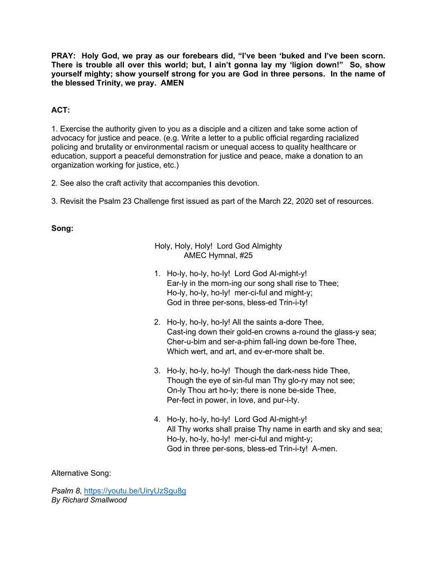**PRAY: Holy God, we pray as our forebears did, "I've been 'buked and I've been scorn. There is trouble all over this world; but, I ain't gonna lay my 'ligion down!" So, show yourself mighty; show yourself strong for you are God in three persons. In the name of the blessed Trinity, we pray. AMEN**

## **ACT:**

1. Exercise the authority given to you as a disciple and a citizen and take some action of advocacy for justice and peace. (e.g. Write a letter to a public official regarding racialized policing and brutality or environmental racism or unequal access to quality healthcare or education, support a peaceful demonstration for justice and peace, make a donation to an organization working for justice, etc.)

2. See also the craft activity that accompanies this devotion.

3. Revisit the Psalm 23 Challenge first issued as part of the March 22, 2020 set of resources.

**Song:**

Holy, Holy, Holy! Lord God Almighty AMEC Hymnal, #25

- 1. Ho-ly, ho-ly, ho-ly! Lord God Al-might-y! Ear-ly in the morn-ing our song shall rise to Thee; Ho-ly, ho-ly, ho-ly! mer-ci-ful and might-y; God in three per-sons, bless-ed Trin-i-ty!
- 2. Ho-ly, ho-ly, ho-ly! All the saints a-dore Thee, Cast-ing down their gold-en crowns a-round the glass-y sea; Cher-u-bim and ser-a-phim fall-ing down be-fore Thee, Which wert, and art, and ev-er-more shalt be.
- 3. Ho-ly, ho-ly, ho-ly! Though the dark-ness hide Thee, Though the eye of sin-ful man Thy glo-ry may not see; On-ly Thou art ho-ly; there is none be-side Thee, Per-fect in power, in love, and pur-i-ty.
- 4. Ho-ly, ho-ly, ho-ly! Lord God Al-might-y! All Thy works shall praise Thy name in earth and sky and sea; Ho-ly, ho-ly, ho-ly! mer-ci-ful and might-y; God in three per-sons, bless-ed Trin-i-ty! A-men.

Alternative Song:

*Psalm 8*, https://youtu.be/UiryUzSgu8g *By Richard Smallwood*